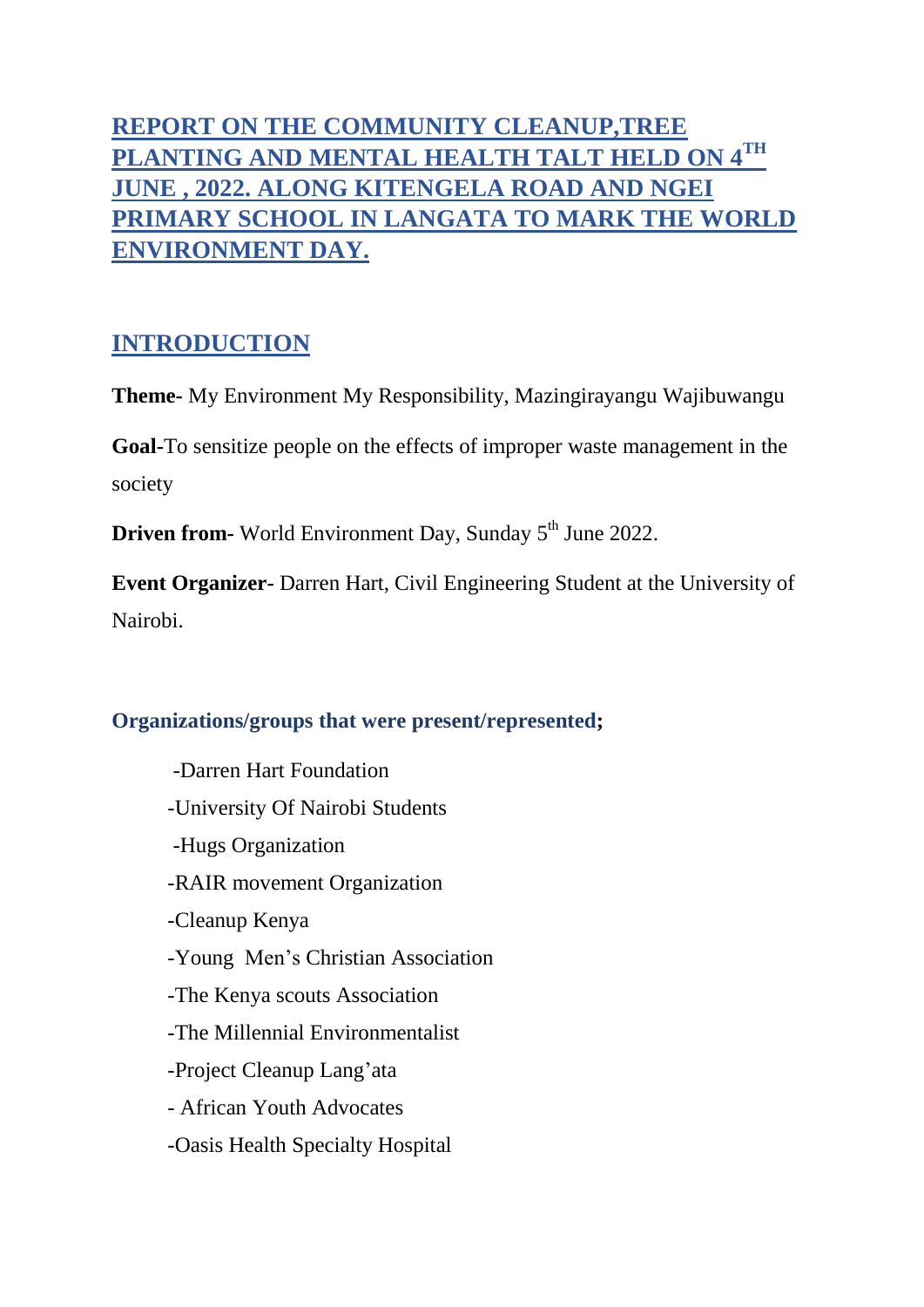# **REPORT ON THE COMMUNITY CLEANUP,TREE PLANTING AND MENTAL HEALTH TALT HELD ON 4 TH JUNE , 2022. ALONG KITENGELA ROAD AND NGEI PRIMARY SCHOOL IN LANGATA TO MARK THE WORLD ENVIRONMENT DAY.**

# **INTRODUCTION**

**Theme-** My Environment My Responsibility, Mazingirayangu Wajibuwangu

**Goal-**To sensitize people on the effects of improper waste management in the society

**Driven from-** World Environment Day, Sunday 5<sup>th</sup> June 2022.

**Event Organizer-** Darren Hart, Civil Engineering Student at the University of Nairobi.

# **Organizations/groups that were present/represented;**

-Darren Hart Foundation -University Of Nairobi Students -Hugs Organization -RAIR movement Organization -Cleanup Kenya -Young Men's Christian Association -The Kenya scouts Association -The Millennial Environmentalist -Project Cleanup Lang'ata - African Youth Advocates -Oasis Health Specialty Hospital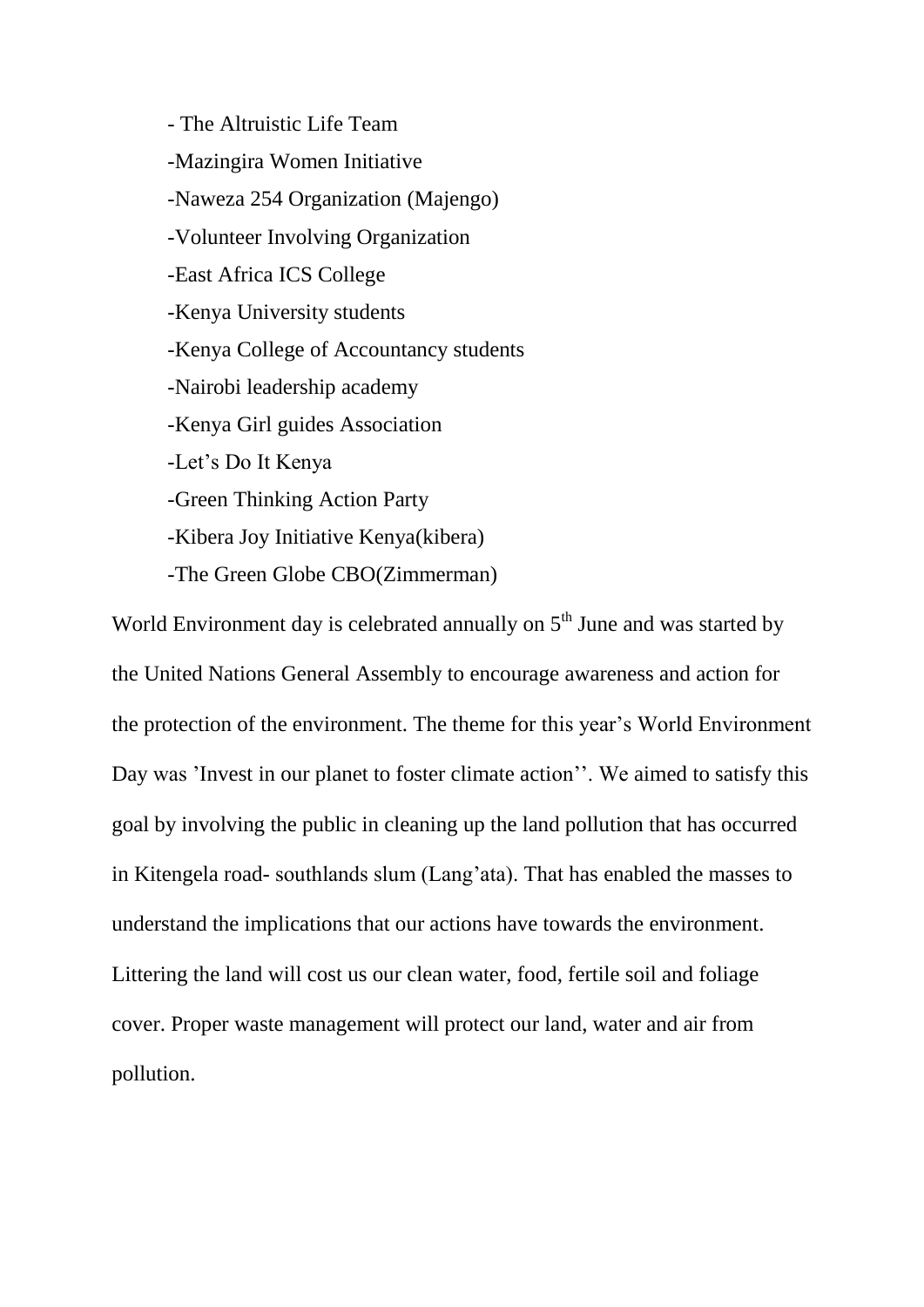- The Altruistic Life Team -Mazingira Women Initiative -Naweza 254 Organization (Majengo) -Volunteer Involving Organization -East Africa ICS College -Kenya University students -Kenya College of Accountancy students -Nairobi leadership academy -Kenya Girl guides Association -Let's Do It Kenya -Green Thinking Action Party -Kibera Joy Initiative Kenya(kibera)

-The Green Globe CBO(Zimmerman)

World Environment day is celebrated annually on  $5<sup>th</sup>$  June and was started by the United Nations General Assembly to encourage awareness and action for the protection of the environment. The theme for this year's World Environment Day was 'Invest in our planet to foster climate action''. We aimed to satisfy this goal by involving the public in cleaning up the land pollution that has occurred in Kitengela road- southlands slum (Lang'ata). That has enabled the masses to understand the implications that our actions have towards the environment. Littering the land will cost us our clean water, food, fertile soil and foliage cover. Proper waste management will protect our land, water and air from pollution.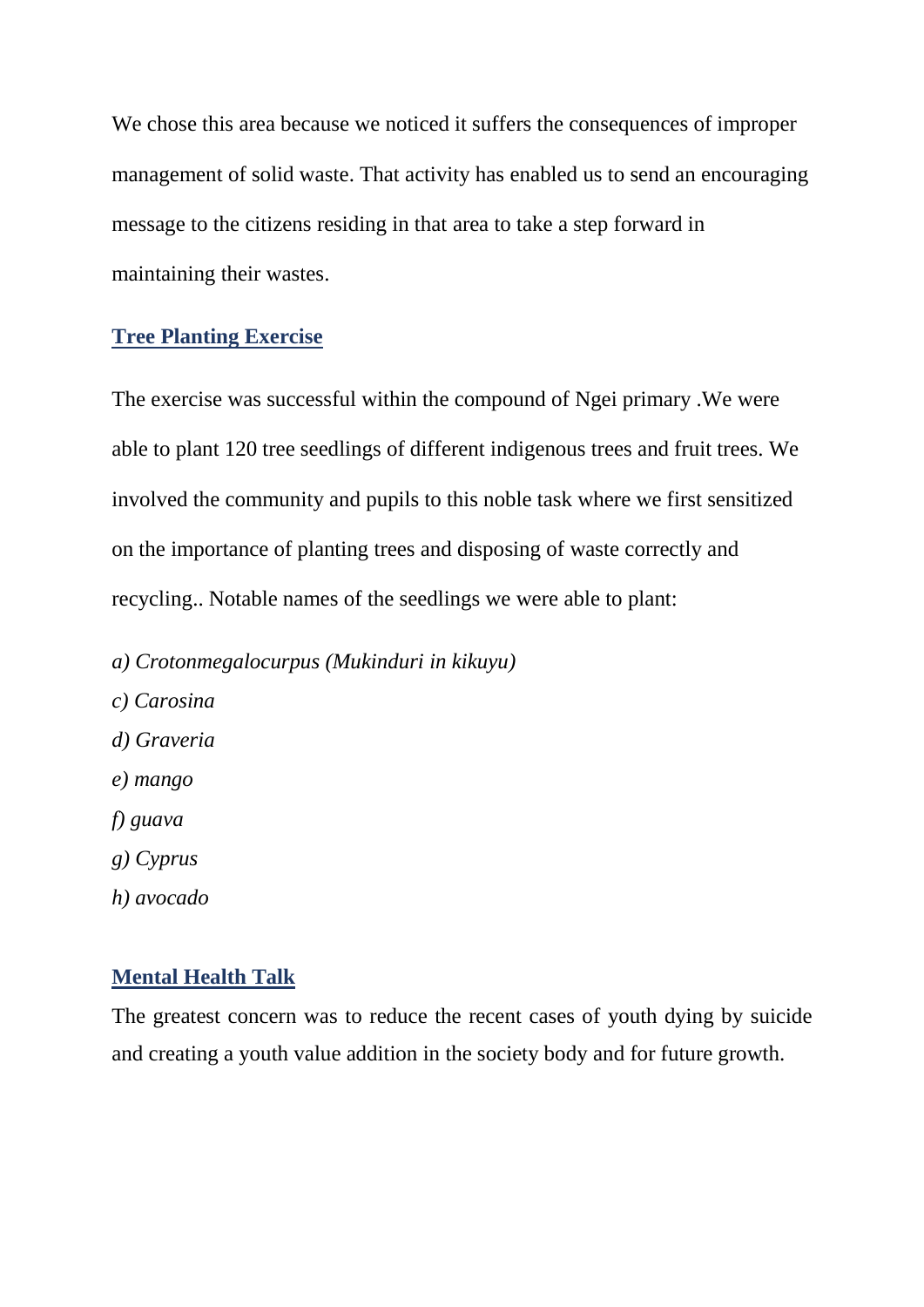We chose this area because we noticed it suffers the consequences of improper management of solid waste. That activity has enabled us to send an encouraging message to the citizens residing in that area to take a step forward in maintaining their wastes.

#### **Tree Planting Exercise**

The exercise was successful within the compound of Ngei primary .We were able to plant 120 tree seedlings of different indigenous trees and fruit trees. We involved the community and pupils to this noble task where we first sensitized on the importance of planting trees and disposing of waste correctly and recycling.. Notable names of the seedlings we were able to plant:

- *a) Crotonmegalocurpus (Mukinduri in kikuyu)*
- *c) Carosina d) Graveria e) mango f) guava g) Cyprus h) avocado*

#### **Mental Health Talk**

The greatest concern was to reduce the recent cases of youth dying by suicide and creating a youth value addition in the society body and for future growth.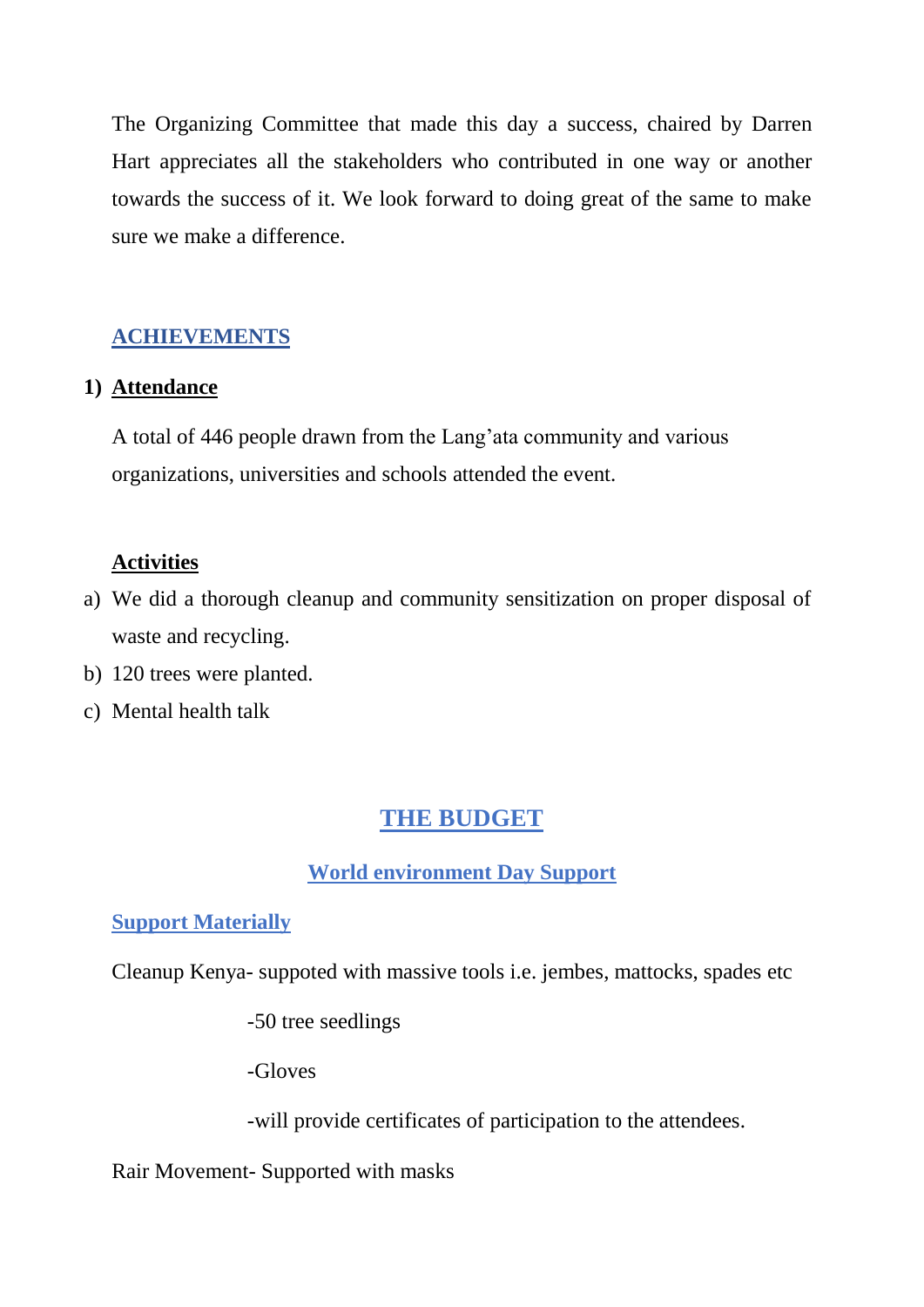The Organizing Committee that made this day a success, chaired by Darren Hart appreciates all the stakeholders who contributed in one way or another towards the success of it. We look forward to doing great of the same to make sure we make a difference.

# **ACHIEVEMENTS**

#### **1) Attendance**

A total of 446 people drawn from the Lang'ata community and various organizations, universities and schools attended the event.

#### **Activities**

- a) We did a thorough cleanup and community sensitization on proper disposal of waste and recycling.
- b) 120 trees were planted.
- c) Mental health talk

# **THE BUDGET**

# **World environment Day Support**

# **Support Materially**

Cleanup Kenya- suppoted with massive tools i.e. jembes, mattocks, spades etc

-50 tree seedlings

-Gloves

-will provide certificates of participation to the attendees.

#### Rair Movement- Supported with masks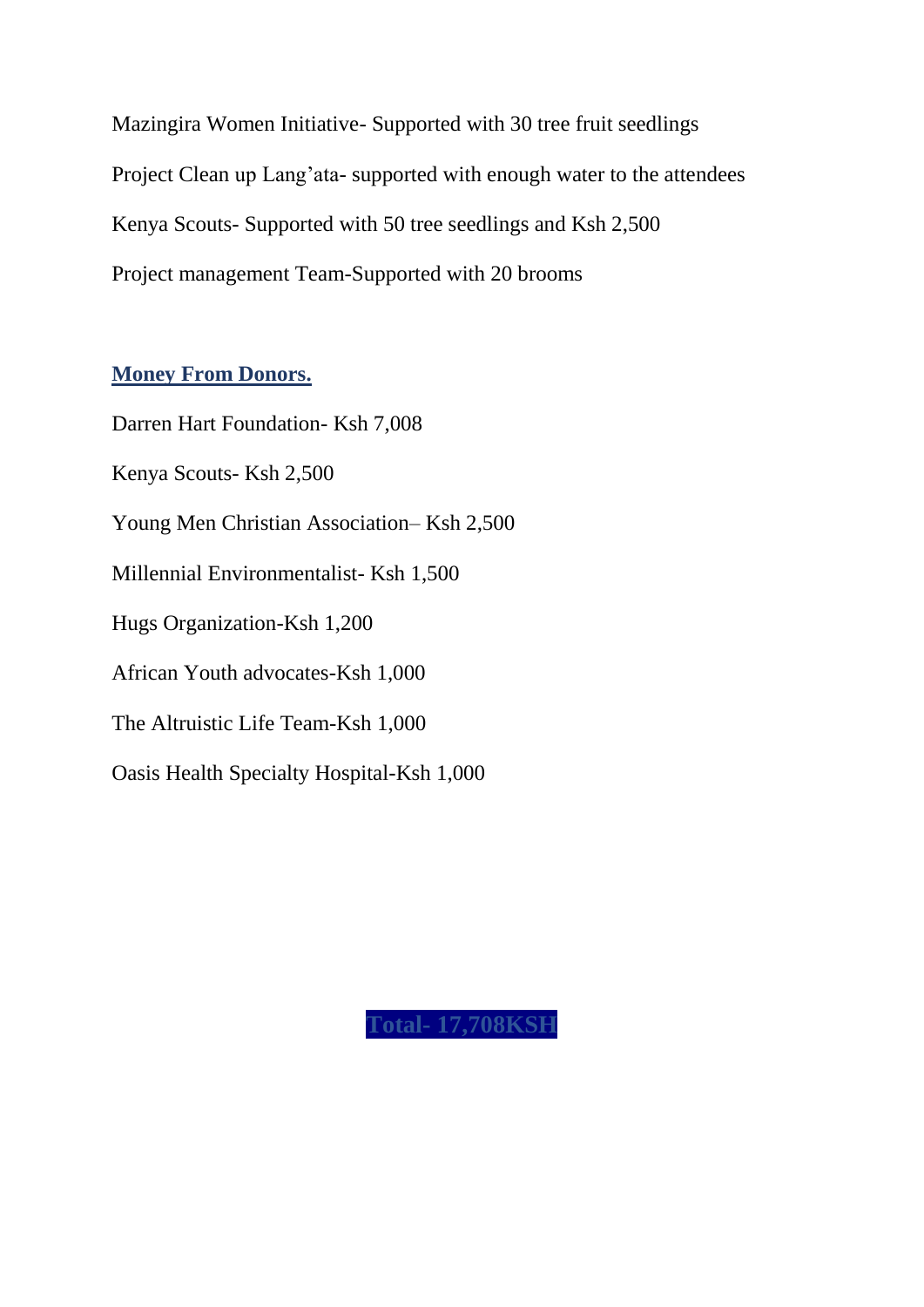Mazingira Women Initiative- Supported with 30 tree fruit seedlings Project Clean up Lang'ata- supported with enough water to the attendees Kenya Scouts- Supported with 50 tree seedlings and Ksh 2,500 Project management Team-Supported with 20 brooms

#### **Money From Donors.**

Darren Hart Foundation- Ksh 7,008 Kenya Scouts- Ksh 2,500 Young Men Christian Association– Ksh 2,500 Millennial Environmentalist- Ksh 1,500 Hugs Organization-Ksh 1,200 African Youth advocates-Ksh 1,000 The Altruistic Life Team-Ksh 1,000 Oasis Health Specialty Hospital-Ksh 1,000

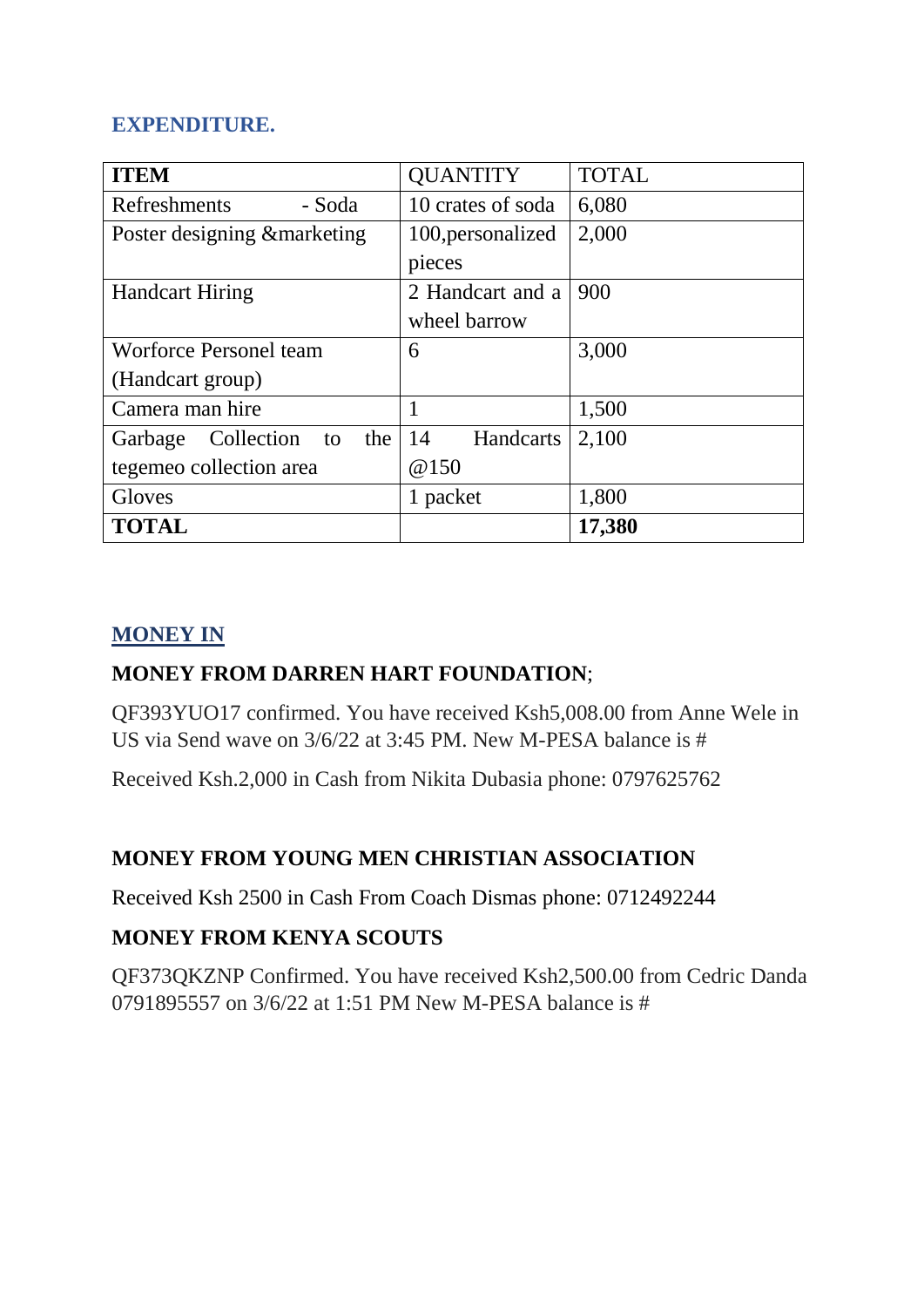# **EXPENDITURE.**

| <b>ITEM</b>                        | <b>QUANTITY</b>   | <b>TOTAL</b> |
|------------------------------------|-------------------|--------------|
| Refreshments<br>- Soda             | 10 crates of soda | 6,080        |
| Poster designing & marketing       | 100, personalized | 2,000        |
|                                    | pieces            |              |
| <b>Handcart Hiring</b>             | 2 Handcart and a  | 900          |
|                                    | wheel barrow      |              |
| Worforce Personel team             | 6                 | 3,000        |
| (Handcart group)                   |                   |              |
| Camera man hire                    |                   | 1,500        |
| Collection<br>the<br>Garbage<br>to | 14<br>Handcarts   | 2,100        |
| tegemeo collection area            | @150              |              |
| Gloves                             | 1 packet          | 1,800        |
| <b>TOTAL</b>                       |                   | 17,380       |

# **MONEY IN**

# **MONEY FROM DARREN HART FOUNDATION**;

QF393YUO17 confirmed. You have received Ksh5,008.00 from Anne Wele in US via Send wave on  $3/6/22$  at  $3:45$  PM. New M-PESA balance is #

Received Ksh.2,000 in Cash from Nikita Dubasia phone: 0797625762

# **MONEY FROM YOUNG MEN CHRISTIAN ASSOCIATION**

Received Ksh 2500 in Cash From Coach Dismas phone: 0712492244

# **MONEY FROM KENYA SCOUTS**

QF373QKZNP Confirmed. You have received Ksh2,500.00 from Cedric Danda 0791895557 on 3/6/22 at 1:51 PM New M-PESA balance is #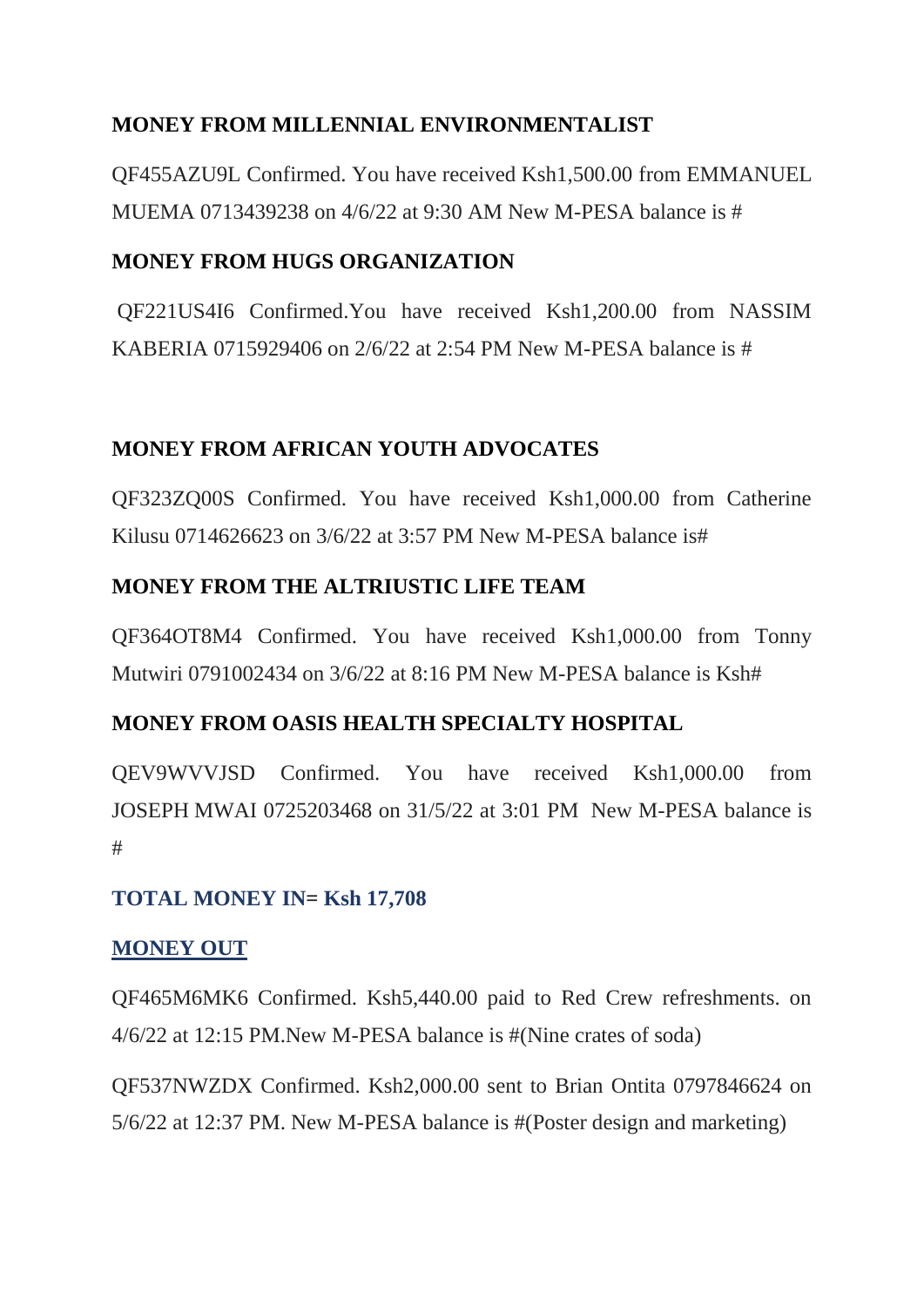# **MONEY FROM MILLENNIAL ENVIRONMENTALIST**

QF455AZU9L Confirmed. You have received Ksh1,500.00 from EMMANUEL MUEMA 0713439238 on 4/6/22 at 9:30 AM New M-PESA balance is #

# **MONEY FROM HUGS ORGANIZATION**

QF221US4I6 Confirmed.You have received Ksh1,200.00 from NASSIM KABERIA 0715929406 on 2/6/22 at 2:54 PM New M-PESA balance is #

# **MONEY FROM AFRICAN YOUTH ADVOCATES**

QF323ZQ00S Confirmed. You have received Ksh1,000.00 from Catherine Kilusu 0714626623 on 3/6/22 at 3:57 PM New M-PESA balance is#

# **MONEY FROM THE ALTRIUSTIC LIFE TEAM**

QF364OT8M4 Confirmed. You have received Ksh1,000.00 from Tonny Mutwiri 0791002434 on 3/6/22 at 8:16 PM New M-PESA balance is Ksh#

# **MONEY FROM OASIS HEALTH SPECIALTY HOSPITAL**

QEV9WVVJSD Confirmed. You have received Ksh1,000.00 from JOSEPH MWAI 0725203468 on 31/5/22 at 3:01 PM New M-PESA balance is #

# **TOTAL MONEY IN= Ksh 17,708**

# **MONEY OUT**

QF465M6MK6 Confirmed. Ksh5,440.00 paid to Red Crew refreshments. on 4/6/22 at 12:15 PM.New M-PESA balance is #(Nine crates of soda)

QF537NWZDX Confirmed. Ksh2,000.00 sent to Brian Ontita 0797846624 on 5/6/22 at 12:37 PM. New M-PESA balance is #(Poster design and marketing)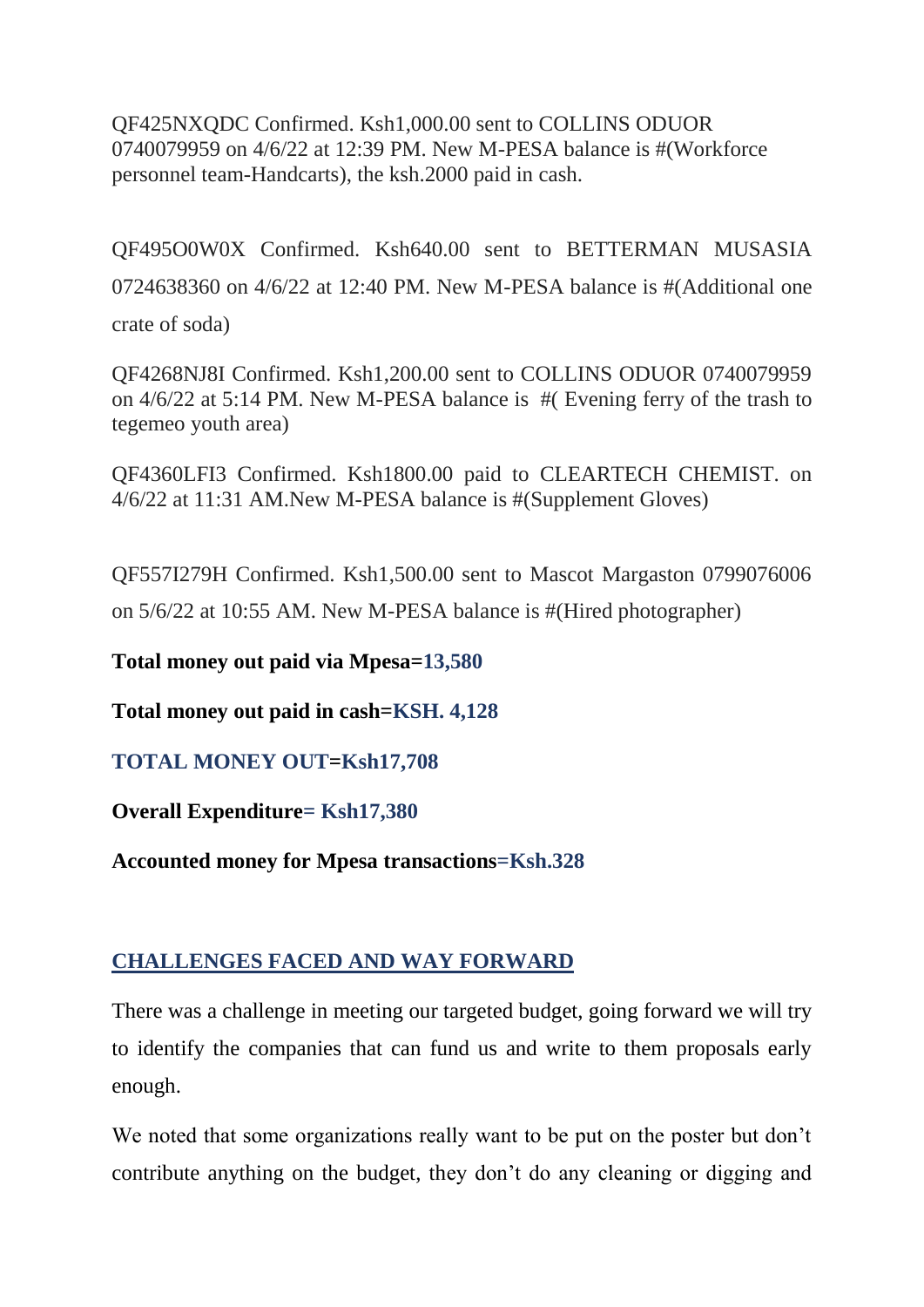QF425NXQDC Confirmed. Ksh1,000.00 sent to COLLINS ODUOR 0740079959 on 4/6/22 at 12:39 PM. New M-PESA balance is #(Workforce personnel team-Handcarts), the ksh.2000 paid in cash.

QF495O0W0X Confirmed. Ksh640.00 sent to BETTERMAN MUSASIA 0724638360 on 4/6/22 at 12:40 PM. New M-PESA balance is #(Additional one crate of soda)

QF4268NJ8I Confirmed. Ksh1,200.00 sent to COLLINS ODUOR 0740079959 on 4/6/22 at 5:14 PM. New M-PESA balance is #( Evening ferry of the trash to tegemeo youth area)

QF4360LFI3 Confirmed. Ksh1800.00 paid to CLEARTECH CHEMIST. on 4/6/22 at 11:31 AM.New M-PESA balance is #(Supplement Gloves)

QF557I279H Confirmed. Ksh1,500.00 sent to Mascot Margaston 0799076006 on 5/6/22 at 10:55 AM. New M-PESA balance is #(Hired photographer)

**Total money out paid via Mpesa=13,580**

**Total money out paid in cash=KSH. 4,128**

**TOTAL MONEY OUT=Ksh17,708**

**Overall Expenditure= Ksh17,380**

**Accounted money for Mpesa transactions=Ksh.328**

# **CHALLENGES FACED AND WAY FORWARD**

There was a challenge in meeting our targeted budget, going forward we will try to identify the companies that can fund us and write to them proposals early enough.

We noted that some organizations really want to be put on the poster but don't contribute anything on the budget, they don't do any cleaning or digging and